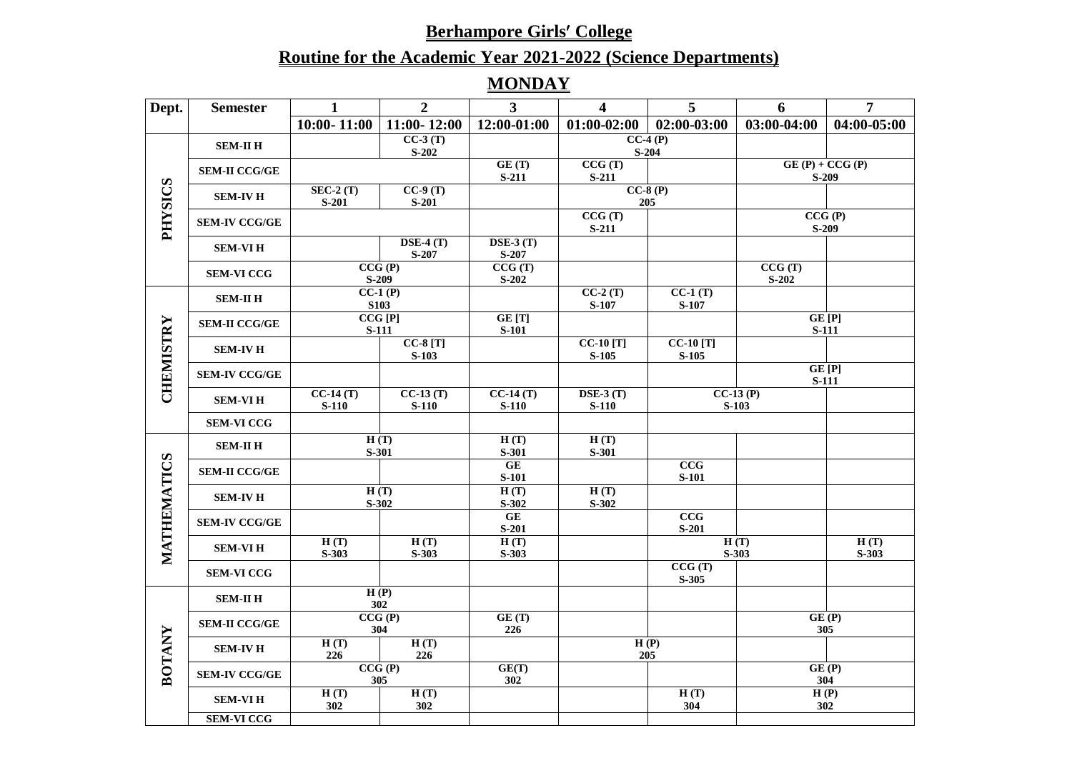# **Routine for the Academic Year 2021-2022 (Science Departments)**

# **MONDAY**

| Dept.          | <b>Semester</b>      | 1                     | $\overline{2}$           | 3 <sup>1</sup>        | $\overline{\mathbf{4}}$                  | $\overline{5}$        | 6                      | $\overline{7}$              |
|----------------|----------------------|-----------------------|--------------------------|-----------------------|------------------------------------------|-----------------------|------------------------|-----------------------------|
|                |                      | $10:00 - 11:00$       | $11:00 - 12:00$          | 12:00-01:00           | $01:00-02:00$                            | 02:00-03:00           | 03:00-04:00            | 04:00-05:00                 |
|                | <b>SEM-II H</b>      |                       | $CC-3(T)$<br>$S-202$     |                       |                                          | $CC-4(P)$<br>$S-204$  |                        |                             |
|                | <b>SEM-II CCG/GE</b> |                       |                          | GE(T)<br>$S-211$      | CCG(T)<br>$S-211$                        |                       |                        | $GE(P) + CCG(P)$<br>$S-209$ |
| <b>PHYSICS</b> | <b>SEM-IV H</b>      | $SEC-2(T)$<br>$S-201$ | $CC-9(T)$<br>$S-201$     |                       |                                          | $CC-8(P)$<br>205      |                        |                             |
|                | <b>SEM-IV CCG/GE</b> |                       |                          |                       | CCG(T)<br>$S-211$                        |                       |                        | CCG(P)<br>$S-209$           |
|                | <b>SEM-VIH</b>       |                       | $DSE-4(T)$<br>$S-207$    | $DSE-3(T)$<br>$S-207$ |                                          |                       |                        |                             |
|                | <b>SEM-VI CCG</b>    |                       | CCG(P)<br>$S-209$        | CCG(T)<br>$S-202$     |                                          |                       | CCG(T)<br>$S-202$      |                             |
|                | <b>SEM-II H</b>      |                       | $CC-1(P)$<br><b>S103</b> |                       | $CC-2(T)$<br>S-107                       | $CC-1(T)$<br>S-107    |                        |                             |
|                | <b>SEM-II CCG/GE</b> |                       | CCG[P]<br><b>S-111</b>   | GE [T]<br>$S-101$     |                                          |                       | GE[P]                  | <b>S-111</b>                |
| CHEMISTRY      | <b>SEM-IV H</b>      |                       | $CC-8[T]$<br>$S-103$     |                       | $CC-10[T]$<br>$S-105$                    | $CC-10[T]$<br>$S-105$ |                        |                             |
|                | <b>SEM-IV CCG/GE</b> |                       |                          |                       |                                          |                       | GE [P]<br><b>S-111</b> |                             |
|                | <b>SEM-VIH</b>       | $CC-14(T)$<br>$S-110$ | $CC-13(T)$<br>$S-110$    | $CC-14(T)$<br>$S-110$ | $\overline{\text{DSE-3 (T)}}$<br>$S-110$ |                       | $CC-13(P)$<br>$S-103$  |                             |
|                | <b>SEM-VI CCG</b>    |                       |                          |                       |                                          |                       |                        |                             |
|                | <b>SEM-II H</b>      |                       | H(T)<br>S-301            | H(T)<br>S-301         | H(T)<br>S-301                            |                       |                        |                             |
| <b>ATICS</b>   | <b>SEM-II CCG/GE</b> |                       |                          | <b>GE</b><br>$S-101$  |                                          | CCG<br>$S-101$        |                        |                             |
|                | <b>SEM-IV H</b>      |                       | H(T)<br>$S-302$          | H(T)<br>$S-302$       | H(T)<br>$S-302$                          |                       |                        |                             |
|                | <b>SEM-IV CCG/GE</b> |                       |                          | <b>GE</b><br>$S-201$  |                                          | CCG<br>$S-201$        |                        |                             |
| MATHEM         | <b>SEM-VIH</b>       | H(T)<br>$S-303$       | H(T)<br>$S-303$          | H(T)<br>$S-303$       |                                          |                       | H(T)<br>$S-303$        | H(T)<br>$S-303$             |
|                | <b>SEM-VI CCG</b>    |                       |                          |                       |                                          | CCG(T)<br>$S-305$     |                        |                             |
|                | <b>SEM-II H</b>      |                       | H(P)<br>302              |                       |                                          |                       |                        |                             |
| <b>BOTANY</b>  | <b>SEM-II CCG/GE</b> |                       | CCG(P)<br>304            | GE(T)<br>226          |                                          |                       | 305                    | GE(P)                       |
|                | <b>SEM-IV H</b>      | H(T)<br>226           | H(T)<br>226              |                       |                                          | H(P)<br>205           |                        |                             |
|                | <b>SEM-IV CCG/GE</b> |                       | CCG(P)<br>305            | GE(T)<br>302          |                                          |                       | GE(P)                  | 304                         |
|                | <b>SEM-VIH</b>       | H(T)<br>302           | H(T)<br>302              |                       |                                          | H(T)<br>304           |                        | H(P)<br>302                 |
|                | <b>SEM-VI CCG</b>    |                       |                          |                       |                                          |                       |                        |                             |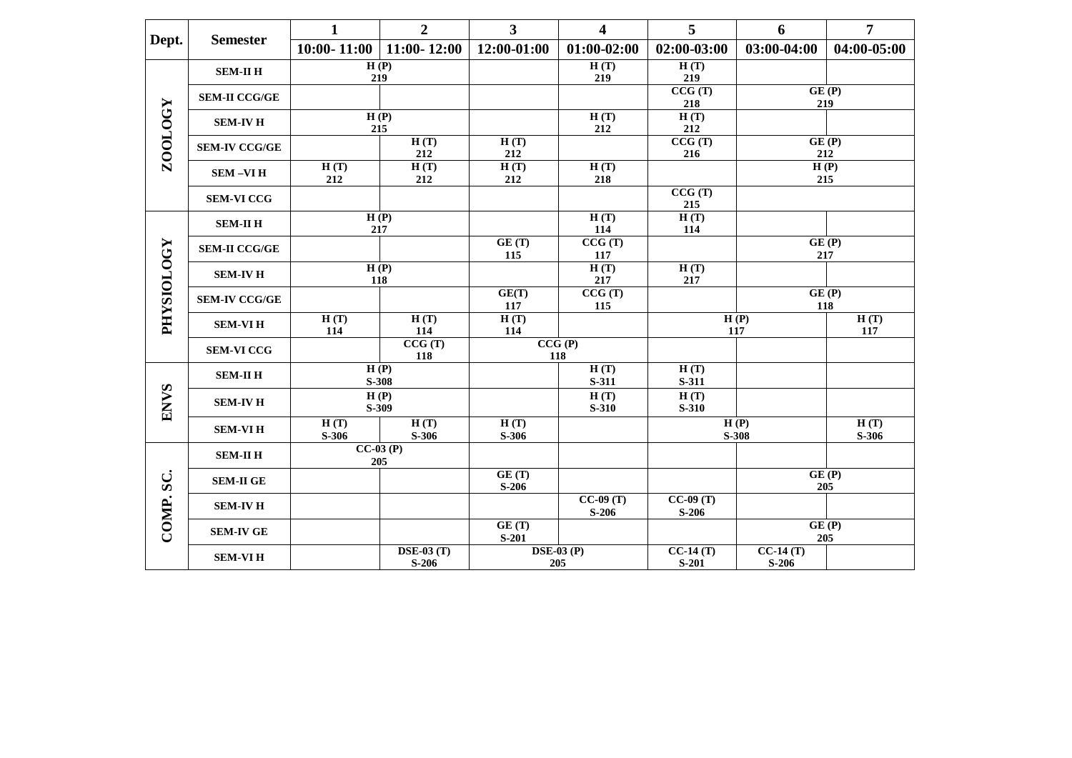|                   | <b>Semester</b>      | $\mathbf{1}$    | $\overline{2}$               | $\mathbf{3}$     | $\overline{\mathbf{4}}$  | 5                     | 6                     | $\overline{7}$  |
|-------------------|----------------------|-----------------|------------------------------|------------------|--------------------------|-----------------------|-----------------------|-----------------|
| Dept.             |                      | $10:00 - 11:00$ | $11:00 - 12:00$              | 12:00-01:00      | $01:00-02:00$            | 02:00-03:00           | 03:00-04:00           | 04:00-05:00     |
|                   | <b>SEM-II H</b>      |                 | H(P)<br>219                  |                  | H(T)<br>219              | H(T)<br>219           |                       |                 |
|                   | <b>SEM-II CCG/GE</b> |                 |                              |                  |                          | CCG(T)<br>218         | GE(P)<br>219          |                 |
|                   | <b>SEM-IV H</b>      |                 | H(P)<br>215                  |                  | H(T)<br>212              | H(T)<br>212           |                       |                 |
| <b>ZOOLOGY</b>    | <b>SEM-IV CCG/GE</b> |                 | H(T)<br>212                  | H(T)<br>212      |                          | CCG(T)<br>216         | GE(P)<br>212          |                 |
|                   | <b>SEM-VIH</b>       | H(T)<br>212     | H(T)<br>212                  | H(T)<br>212      | H(T)<br>218              |                       | H(P)<br>215           |                 |
|                   | <b>SEM-VI CCG</b>    |                 |                              |                  |                          | CCG(T)<br>215         |                       |                 |
|                   | <b>SEM-II H</b>      |                 | H(P)<br>217                  |                  | H(T)<br>114              | H(T)<br>114           |                       |                 |
|                   | <b>SEM-II CCG/GE</b> |                 |                              |                  | CCG(T)<br>117            |                       | GE(P)<br>217          |                 |
| <b>PHYSIOLOGY</b> | <b>SEM-IV H</b>      |                 | H(P)<br>118                  |                  | H(T)<br>217              | H(T)<br>217           |                       |                 |
|                   | <b>SEM-IV CCG/GE</b> |                 |                              | GE(T)<br>117     | CCG(T)<br>115            |                       | GE(P)<br>118          |                 |
|                   | <b>SEM-VIH</b>       | H(T)<br>114     | H(T)<br>114                  | H(T)<br>114      |                          | 117                   | H(P)                  | H(T)<br>117     |
|                   | <b>SEM-VI CCG</b>    |                 | CCG(T)<br>118                |                  | CCG(P)<br>118            |                       |                       |                 |
|                   | <b>SEM-II H</b>      |                 | H(P)<br>S-308                |                  | H(T)<br>S-311            | H(T)<br>S-311         |                       |                 |
| <b>ENVS</b>       | <b>SEM-IV H</b>      |                 | H(P)<br>S-309                |                  | H(T)<br>$S-310$          | H(T)<br><b>S-310</b>  |                       |                 |
|                   | <b>SEM-VIH</b>       | H(T)<br>$S-306$ | H(T)<br>S-306                | H(T)<br>$S-306$  |                          |                       | H(P)<br>S-308         | H(T)<br>$S-306$ |
|                   | <b>SEM-II H</b>      |                 | $CC-03(P)$<br>205            |                  |                          |                       |                       |                 |
| SC.               | <b>SEM-II GE</b>     |                 |                              | GE(T)<br>$S-206$ |                          |                       | GE(P)<br>205          |                 |
|                   | <b>SEM-IV H</b>      |                 |                              |                  | $CC-09(T)$<br>$S-206$    | $CC-09(T)$<br>$S-206$ |                       |                 |
| COMP.             | <b>SEM-IV GE</b>     |                 |                              | GE(T)<br>$S-201$ |                          |                       | GE(P)<br>205          |                 |
|                   | <b>SEM-VIH</b>       |                 | <b>DSE-03 (T)</b><br>$S-206$ |                  | <b>DSE-03 (P)</b><br>205 | $CC-14(T)$<br>$S-201$ | $CC-14(T)$<br>$S-206$ |                 |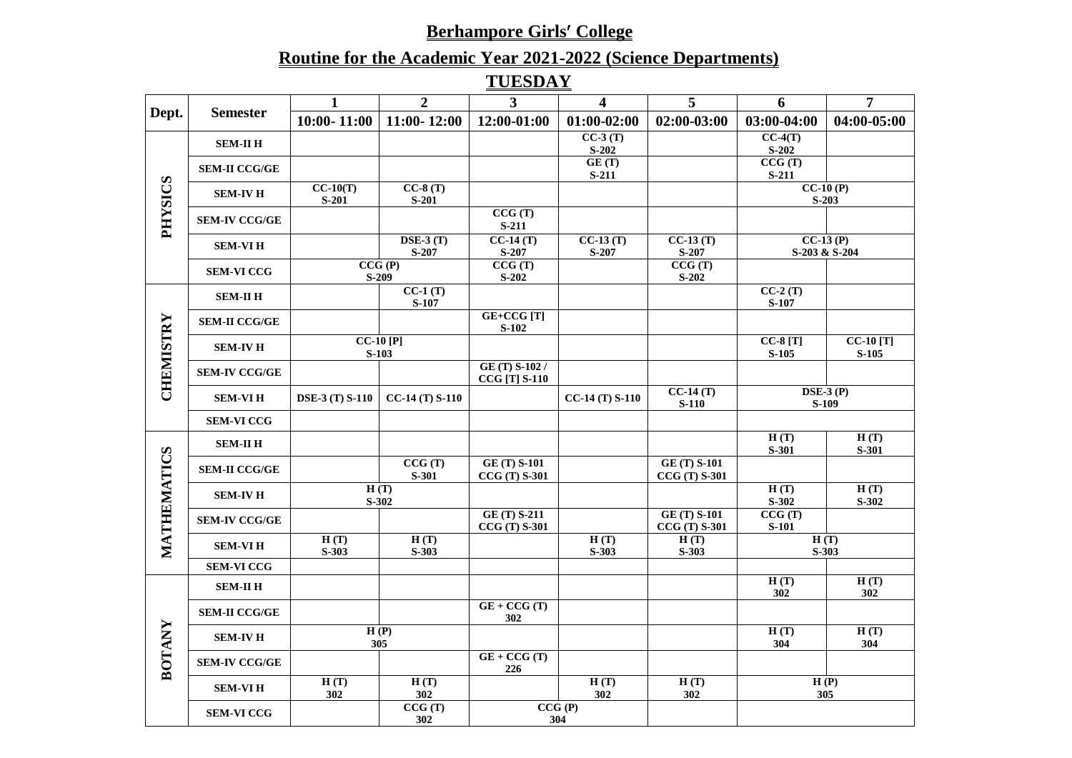# **Routine for the Academic Year 2021-2022 (Science Departments)**

**TUESDAY**

| Dept.          |                      |                        |                                          |                                             |                         |                                       |                        | $\overline{7}$              |
|----------------|----------------------|------------------------|------------------------------------------|---------------------------------------------|-------------------------|---------------------------------------|------------------------|-----------------------------|
|                | <b>Semester</b>      |                        | $\overline{2}$                           | $\overline{3}$                              | $\overline{\mathbf{4}}$ | 5                                     | 6                      |                             |
|                |                      | $10:00 - 11:00$        | $11:00 - 12:00$                          | 12:00-01:00                                 | $01:00-02:00$           | 02:00-03:00                           | 03:00-04:00            | 04:00-05:00                 |
|                | <b>SEM-II H</b>      |                        |                                          |                                             | $CC-3(T)$               |                                       | $CC-4(T)$              |                             |
|                |                      |                        |                                          |                                             | $S-202$                 |                                       | $S-202$                |                             |
|                | <b>SEM-II CCG/GE</b> |                        |                                          |                                             | GE(T)<br>$S-211$        |                                       | CCG(T)<br>$S-211$      |                             |
|                |                      | $CC-10(T)$             | $CC-8(T)$                                |                                             |                         |                                       |                        | $CC-10(P)$                  |
|                | <b>SEM-IV H</b>      | $S-201$                | $S-201$                                  |                                             |                         |                                       |                        | $S-203$                     |
| <b>SOISXHA</b> | <b>SEM-IV CCG/GE</b> |                        |                                          | CCG(T)<br>$S-211$                           |                         |                                       |                        |                             |
|                | <b>SEM-VIH</b>       |                        | $\overline{\text{DSE-3 (T)}}$<br>$S-207$ | $CC-14(T)$<br>$S-207$                       | $CC-13(T)$<br>$S-207$   | $CC-13(T)$<br>$S-207$                 |                        | $CC-13(P)$<br>S-203 & S-204 |
|                | <b>SEM-VI CCG</b>    |                        | CCG(P)<br>S-209                          | CCG(T)<br>$S-202$                           |                         | CCG(T)<br>$S-202$                     |                        |                             |
|                | <b>SEM-II H</b>      |                        | $CC-1(T)$<br>S-107                       |                                             |                         |                                       | $CC-2(T)$<br>S-107     |                             |
|                | <b>SEM-II CCG/GE</b> |                        |                                          | GE+CCG [T]<br>$S-102$                       |                         |                                       |                        |                             |
| CHEMISTRY      | <b>SEM-IV H</b>      |                        | $CC-10$ [P]<br>$S-103$                   |                                             |                         |                                       | $CC-8[T]$<br>$S-105$   | $CC-10[T]$<br>$S-105$       |
|                | <b>SEM-IV CCG/GE</b> |                        |                                          | GE (T) S-102 /<br><b>CCG</b> [T] S-110      |                         |                                       |                        |                             |
|                | <b>SEM-VIH</b>       | <b>DSE-3 (T) S-110</b> | $CC-14(T) S-110$                         |                                             | $CC-14(T) S-110$        | $CC-14(T)$<br>$S-110$                 |                        | $\bf{DSE-3}$ (P)<br>$S-109$ |
|                | <b>SEM-VI CCG</b>    |                        |                                          |                                             |                         |                                       |                        |                             |
|                | <b>SEM-II H</b>      |                        |                                          |                                             |                         |                                       | H(T)<br>S-301          | H(T)<br>S-301               |
| <b>ATICS</b>   | <b>SEM-II CCG/GE</b> |                        | CCG(T)<br>S-301                          | <b>GE (T) S-101</b><br><b>CCG</b> (T) S-301 |                         | <b>GE (T) S-101</b><br>$CCG(T) S-301$ |                        |                             |
|                | <b>SEM-IV H</b>      |                        | H(T)<br>$S-302$                          |                                             |                         |                                       | H(T)<br>$S-302$        | H(T)<br>$S-302$             |
| MATHEM         | <b>SEM-IV CCG/GE</b> |                        |                                          | <b>GE (T) S-211</b><br>$CCG(T) S-301$       |                         | <b>GE (T) S-101</b><br>$CCG(T) S-301$ | CCG(T)<br><b>S-101</b> |                             |
|                | <b>SEM-VI H</b>      | H(T)<br>$S-303$        | H(T)<br>$S-303$                          |                                             | H(T)<br>$S-303$         | H(T)<br>$S-303$                       |                        | H(T)<br>$S-303$             |
|                | <b>SEM-VI CCG</b>    |                        |                                          |                                             |                         |                                       |                        |                             |
|                | <b>SEM-II H</b>      |                        |                                          |                                             |                         |                                       | H(T)<br>302            | H(T)<br>302                 |
| <b>BOTANY</b>  | <b>SEM-II CCG/GE</b> |                        |                                          | $GE + CCG(T)$<br>302                        |                         |                                       |                        |                             |
|                | <b>SEM-IV H</b>      |                        | H(P)<br>305                              |                                             |                         |                                       | H(T)<br>304            | H(T)<br>304                 |
|                | <b>SEM-IV CCG/GE</b> |                        |                                          | $GE + CCG(T)$<br>226                        |                         |                                       |                        |                             |
|                | <b>SEM-VIH</b>       | H(T)<br>302            | H(T)<br>302                              |                                             | H(T)<br>302             | H(T)<br>302                           |                        | H(P)<br>305                 |
|                | <b>SEM-VI CCG</b>    |                        | CCG(T)<br>302                            |                                             | CCG(P)<br>304           |                                       |                        |                             |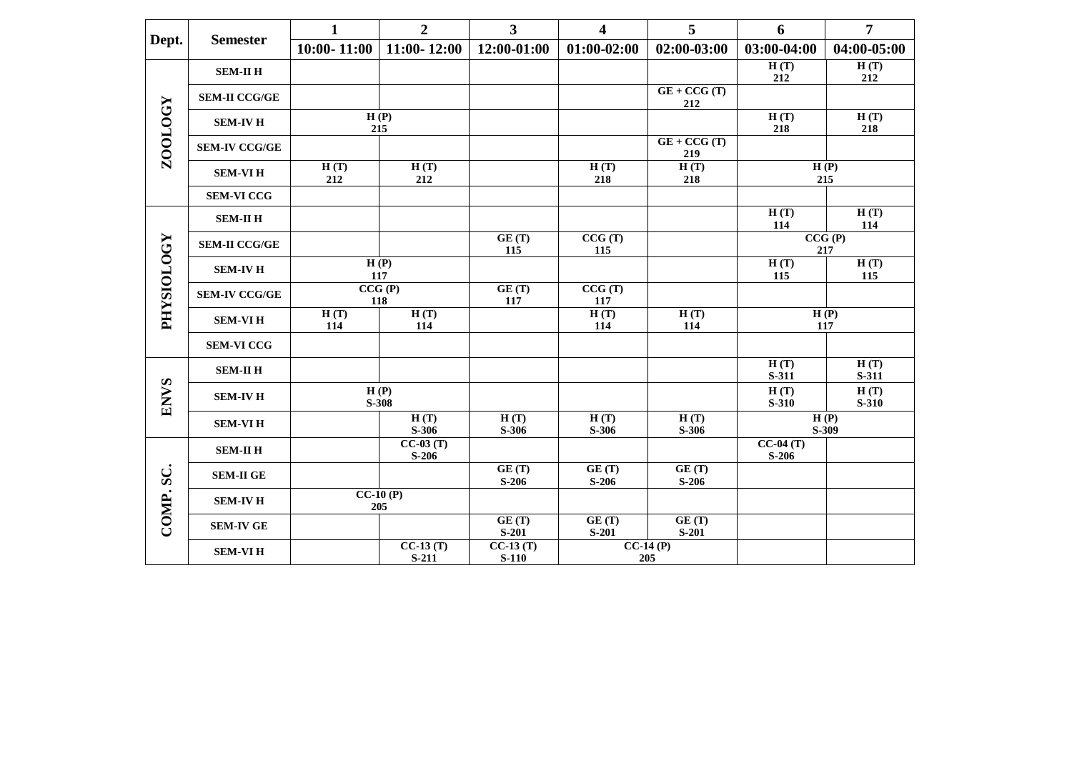|                   |                      | $\mathbf{1}$    | $\overline{2}$        | $\mathbf{3}$          | $\overline{\mathbf{4}}$ | 5                    | 6                     | $\overline{7}$ |
|-------------------|----------------------|-----------------|-----------------------|-----------------------|-------------------------|----------------------|-----------------------|----------------|
| Dept.             | <b>Semester</b>      | $10:00 - 11:00$ | $11:00 - 12:00$       | 12:00-01:00           | $01:00-02:00$           | 02:00-03:00          | 03:00-04:00           | 04:00-05:00    |
|                   | <b>SEM-II H</b>      |                 |                       |                       |                         |                      | H(T)<br>212           | H(T)<br>212    |
|                   | <b>SEM-II CCG/GE</b> |                 |                       |                       |                         | $GE + CCG(T)$<br>212 |                       |                |
|                   | <b>SEM-IV H</b>      |                 | H(P)<br>215           |                       |                         |                      | H(T)<br>218           | H(T)<br>218    |
| ZOOLOGY           | <b>SEM-IV CCG/GE</b> |                 |                       |                       |                         | $GE + CCG(T)$<br>219 |                       |                |
|                   | <b>SEM-VIH</b>       | H(T)<br>212     | H(T)<br>212           |                       | H(T)<br>218             | H(T)<br>218          |                       | H(P)<br>215    |
|                   | <b>SEM-VI CCG</b>    |                 |                       |                       |                         |                      |                       |                |
|                   | <b>SEM-II H</b>      |                 |                       |                       |                         |                      | H(T)<br>114           | H(T)<br>114    |
|                   | <b>SEM-II CCG/GE</b> |                 |                       | GE(T)<br>115          | CCG(T)<br>115           |                      |                       | CCG(P)<br>217  |
|                   | <b>SEM-IV H</b>      |                 | H(P)<br>117           |                       |                         |                      | H(T)<br>115           | H(T)<br>115    |
|                   | <b>SEM-IV CCG/GE</b> | CCG(P)<br>118   |                       | GE(T)<br>117          | CCG(T)<br>117           |                      |                       |                |
| <b>FHYSIOLOGY</b> | <b>SEM-VIH</b>       | H(T)<br>114     | H(T)<br>114           |                       | H(T)<br>114             | H(T)<br>114          |                       | H(P)<br>117    |
|                   | <b>SEM-VI CCG</b>    |                 |                       |                       |                         |                      |                       |                |
|                   | <b>SEM-II H</b>      |                 |                       |                       |                         |                      | H(T)<br>S-311         | H(T)<br>S-311  |
| <b>ENVS</b>       | <b>SEM-IV H</b>      |                 | H(P)<br>S-308         |                       |                         |                      | H(T)<br>S-310         | H(T)<br>S-310  |
|                   | <b>SEM-VIH</b>       |                 | H(T)<br>$S-306$       | H(T)<br>S-306         | H(T)<br>$S-306$         | H(T)<br>S-306        |                       | H(P)<br>S-309  |
|                   | <b>SEM-II H</b>      |                 | $CC-03(T)$<br>$S-206$ |                       |                         |                      | $CC-04(T)$<br>$S-206$ |                |
| SC.<br>COMP.      | <b>SEM-II GE</b>     |                 |                       | GE(T)<br>$S-206$      | GE(T)<br>$S-206$        | GE(T)<br>$S-206$     |                       |                |
|                   | <b>SEM-IV H</b>      |                 | $CC-10(P)$<br>205     |                       |                         |                      |                       |                |
|                   | <b>SEM-IV GE</b>     |                 |                       | GE(T)<br>$S-201$      | GE(T)<br>$S-201$        | GE(T)<br>$S-201$     |                       |                |
|                   | <b>SEM-VIH</b>       |                 | $CC-13(T)$<br>$S-211$ | $CC-13(T)$<br>$S-110$ |                         | $CC-14(P)$<br>205    |                       |                |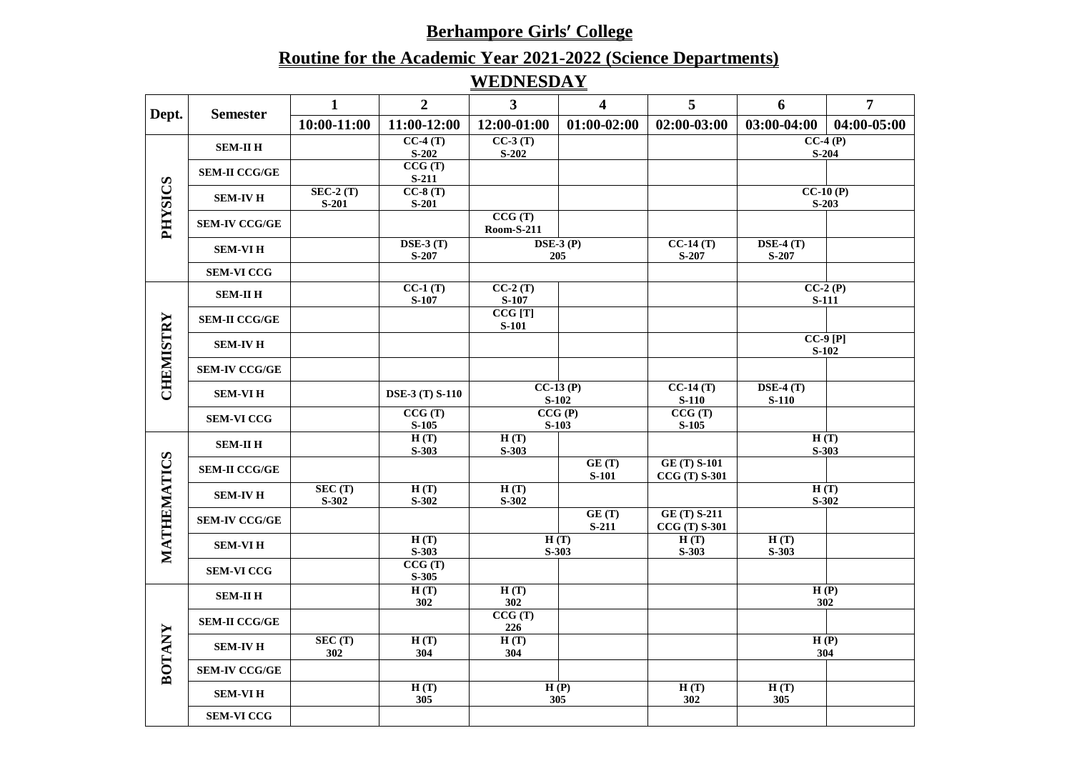# **Routine for the Academic Year 2021-2022 (Science Departments) WEDNESDAY**

| Dept.          | <b>Semester</b>      | 1              | $\overline{2}$                | $\overline{3}$              | $\overline{\mathbf{4}}$       | 5                                     | 6                                             | $\overline{7}$       |
|----------------|----------------------|----------------|-------------------------------|-----------------------------|-------------------------------|---------------------------------------|-----------------------------------------------|----------------------|
|                |                      | 10:00-11:00    | 11:00-12:00                   | 12:00-01:00                 | $01:00-02:00$                 | 02:00-03:00                           | 03:00-04:00                                   | 04:00-05:00          |
|                | <b>SEM-II H</b>      |                | $CC-4(T)$                     | $CC-3(T)$                   |                               |                                       | $CC-4(P)$                                     |                      |
|                |                      |                | $S-202$                       | $S-202$                     |                               |                                       |                                               | $S-204$              |
|                | <b>SEM-II CCG/GE</b> |                | CCG(T)<br>$S-211$             |                             |                               |                                       |                                               |                      |
|                |                      | $SEC-2(T)$     | $CC-8(T)$                     |                             |                               |                                       |                                               | $CC-10(P)$           |
|                | <b>SEM-IV H</b>      | $S-201$        | $S-201$                       |                             |                               |                                       |                                               | $S-203$              |
| <b>SOISXHd</b> | <b>SEM-IV CCG/GE</b> |                |                               | CCG(T)<br><b>Room-S-211</b> |                               |                                       |                                               |                      |
|                |                      |                | $\overline{\text{DSE-3 (T)}}$ |                             | $\overline{\text{DSE-3 (P)}}$ | $CC-14(T)$                            | $\bf{DSE-4}$ (T)                              |                      |
|                | <b>SEM-VIH</b>       |                | $S-207$                       |                             | 205                           | S-207                                 | $S-207$                                       |                      |
|                | <b>SEM-VI CCG</b>    |                |                               |                             |                               |                                       |                                               |                      |
|                | <b>SEM-II H</b>      |                | $CC-1(T)$                     | $CC-2(T)$                   |                               |                                       |                                               | $CC-2(P)$            |
|                |                      |                | S-107                         | S-107<br>CCG[T]             |                               |                                       | <b>S-111</b>                                  |                      |
|                | <b>SEM-II CCG/GE</b> |                |                               | $S-101$                     |                               |                                       |                                               |                      |
|                | <b>SEM-IV H</b>      |                |                               |                             |                               |                                       |                                               | $CC-9[P]$<br>$S-102$ |
| CHEMISTRY      | <b>SEM-IV CCG/GE</b> |                |                               |                             |                               |                                       |                                               |                      |
|                | <b>SEM-VIH</b>       |                | <b>DSE-3 (T) S-110</b>        |                             | $CC-13(P)$<br>$S-102$         | $CC-14(T)$<br>$S-110$                 | $\overline{\text{DSE-4 (T)}}$<br><b>S-110</b> |                      |
|                | <b>SEM-VI CCG</b>    |                | CCG(T)                        |                             | CCG(P)                        | CCG(T)                                |                                               |                      |
|                |                      |                | $S-105$                       |                             | $S-103$                       | $S-105$                               |                                               |                      |
|                | <b>SEM-II H</b>      |                | H(T)<br>S-303                 | H(T)<br>$S-303$             |                               |                                       | S-303                                         | H(T)                 |
|                |                      |                |                               |                             | GE(T)                         | <b>GE (T) S-101</b>                   |                                               |                      |
|                | <b>SEM-II CCG/GE</b> |                |                               |                             | <b>S-101</b>                  | $CCG(T) S-301$                        |                                               |                      |
|                | <b>SEM-IV H</b>      | SEC(T)         | H(T)                          | H(T)                        |                               |                                       |                                               | H(T)                 |
|                |                      | $S-302$        | $S-302$                       | $S-302$                     |                               |                                       |                                               | $S-302$              |
| MATHEMATICS    | <b>SEM-IV CCG/GE</b> |                |                               |                             | GE(T)<br>$S-211$              | <b>GE (T) S-211</b><br>$CCG(T) S-301$ |                                               |                      |
|                | <b>SEM-VIH</b>       |                | H(T)                          |                             | H(T)                          | H(T)                                  | H(T)                                          |                      |
|                |                      |                | $S-303$                       |                             | $S-303$                       | $S-303$                               | S-303                                         |                      |
|                | <b>SEM-VI CCG</b>    |                | CCG(T)<br>$S-305$             |                             |                               |                                       |                                               |                      |
|                |                      |                | H(T)                          | H(T)                        |                               |                                       |                                               | H(P)                 |
|                | <b>SEM-II H</b>      |                | 302                           | 302                         |                               |                                       |                                               | 302                  |
| <b>BOTANY</b>  | <b>SEM-II CCG/GE</b> |                |                               | CCG(T)<br>226               |                               |                                       |                                               |                      |
|                | <b>SEM-IV H</b>      | SEC (T)<br>302 | H(T)<br>304                   | H(T)<br>304                 |                               |                                       |                                               | H(P)<br>304          |
|                | <b>SEM-IV CCG/GE</b> |                |                               |                             |                               |                                       |                                               |                      |
|                | <b>SEM-VIH</b>       |                | H(T)<br>305                   |                             | H(P)<br>305                   | H(T)<br>302                           | H(T)<br>305                                   |                      |
|                | <b>SEM-VI CCG</b>    |                |                               |                             |                               |                                       |                                               |                      |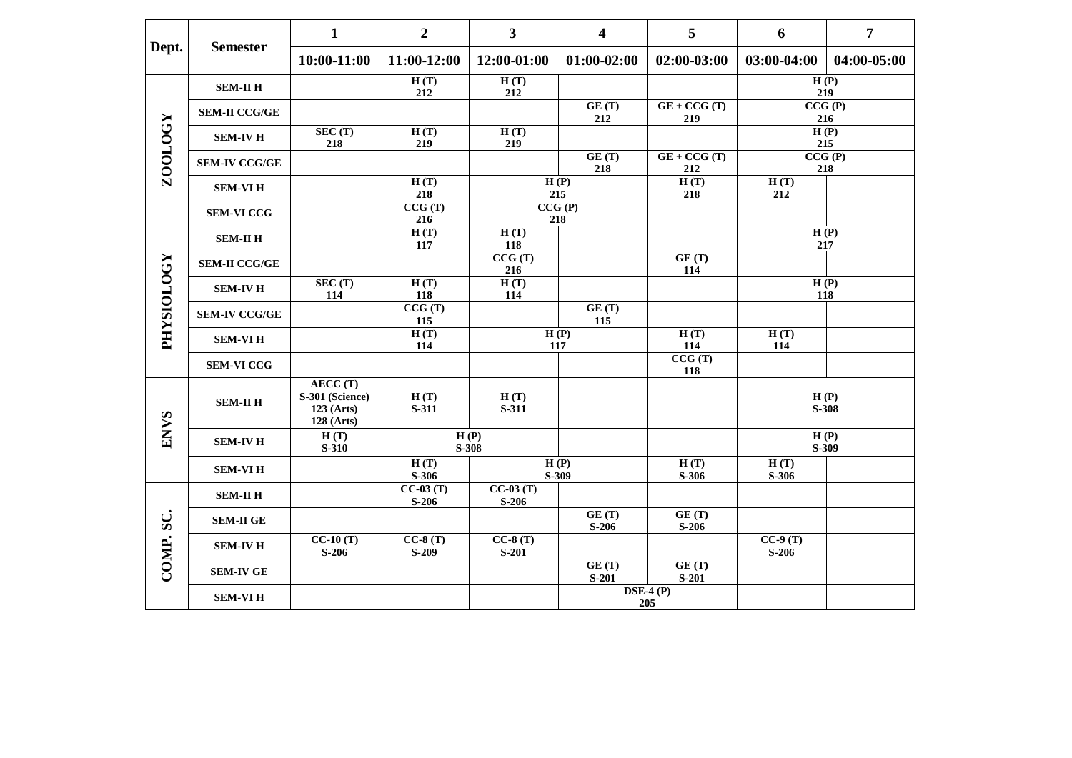| Dept.                 | <b>Semester</b>      | $\mathbf{1}$                                                    | $\overline{2}$        | $\overline{\mathbf{3}}$ | $\overline{\mathbf{4}}$ | 5                       | 6                    | $\overline{7}$  |
|-----------------------|----------------------|-----------------------------------------------------------------|-----------------------|-------------------------|-------------------------|-------------------------|----------------------|-----------------|
|                       |                      | 10:00-11:00                                                     | 11:00-12:00           | 12:00-01:00             | $01:00-02:00$           | 02:00-03:00             | 03:00-04:00          | 04:00-05:00     |
|                       | <b>SEM-II H</b>      |                                                                 | H(T)<br>212           | H(T)<br>212             |                         |                         | H(P)<br>219          |                 |
|                       | <b>SEM-II CCG/GE</b> |                                                                 |                       |                         | GE(T)<br>212            | $GE + CCG(T)$<br>219    | 216                  | CCG(P)          |
|                       | <b>SEM-IV H</b>      | SEC(T)<br>218                                                   | H(T)<br>219           | H(T)<br>219             |                         |                         | 215                  | H(P)            |
| <b>ZOOLOGY</b>        | <b>SEM-IV CCG/GE</b> |                                                                 |                       |                         | GE(T)<br>218            | $GE + CCG(T)$<br>212    | 218                  | CCG(P)          |
|                       | <b>SEM-VIH</b>       |                                                                 | H(T)<br>218           |                         | H(P)<br>215             | H(T)<br>218             | H(T)<br>212          |                 |
|                       | <b>SEM-VI CCG</b>    |                                                                 | CCG(T)<br>216         |                         | CCG(P)<br>218           |                         |                      |                 |
|                       | <b>SEM-II H</b>      |                                                                 | H(T)<br>117           | H(T)<br>118             |                         |                         | H(P)<br>217          |                 |
|                       | <b>SEM-II CCG/GE</b> |                                                                 |                       | CCG(T)<br>216           |                         | GE(T)<br>114            |                      |                 |
| <b>FHYSIOLOGY</b>     | <b>SEM-IV H</b>      | SEC (T)<br>114                                                  | H(T)<br>118           | H(T)<br>114             |                         |                         | 118                  | H(P)            |
|                       | <b>SEM-IV CCG/GE</b> |                                                                 | CCG(T)<br>115         |                         | GE(T)<br>115            |                         |                      |                 |
|                       | <b>SEM-VIH</b>       |                                                                 | H(T)<br>114           |                         | H(P)<br>117             | H(T)<br>114             | H(T)<br>114          |                 |
|                       | <b>SEM-VI CCG</b>    |                                                                 |                       |                         |                         | CCG(T)<br>118           |                      |                 |
| $\boldsymbol{\omega}$ | <b>SEM-II H</b>      | AECC(T)<br>S-301 (Science)<br>$123$ (Arts)<br><b>128 (Arts)</b> | H(T)<br>S-311         | H(T)<br>S-311           |                         |                         |                      | H(P)<br>$S-308$ |
| <b>ENV</b>            | <b>SEM-IV H</b>      | H(T)<br><b>S-310</b>                                            |                       | H(P)<br>S-308           |                         |                         |                      | H(P)<br>S-309   |
|                       | <b>SEM-VIH</b>       |                                                                 | H(T)<br>$S-306$       |                         | H(P)<br>S-309           | H(T)<br>S-306           | H(T)<br>S-306        |                 |
|                       | <b>SEM-II H</b>      |                                                                 | $CC-03(T)$<br>$S-206$ | $CC-03(T)$<br>$S-206$   |                         |                         |                      |                 |
| COMP.SC.              | <b>SEM-II GE</b>     |                                                                 |                       |                         | GE(T)<br>$S-206$        | GE(T)<br>$S-206$        |                      |                 |
|                       | <b>SEM-IV H</b>      | $CC-10(T)$<br>$S-206$                                           | $CC-8(T)$<br>$S-209$  | $CC-8(T)$<br>$S-201$    |                         |                         | $CC-9(T)$<br>$S-206$ |                 |
|                       | <b>SEM-IV GE</b>     |                                                                 |                       |                         | GE(T)<br>$S-201$        | GE(T)<br>$S-201$        |                      |                 |
|                       | <b>SEM-VIH</b>       |                                                                 |                       |                         |                         | $\bf{DSE-4}$ (P)<br>205 |                      |                 |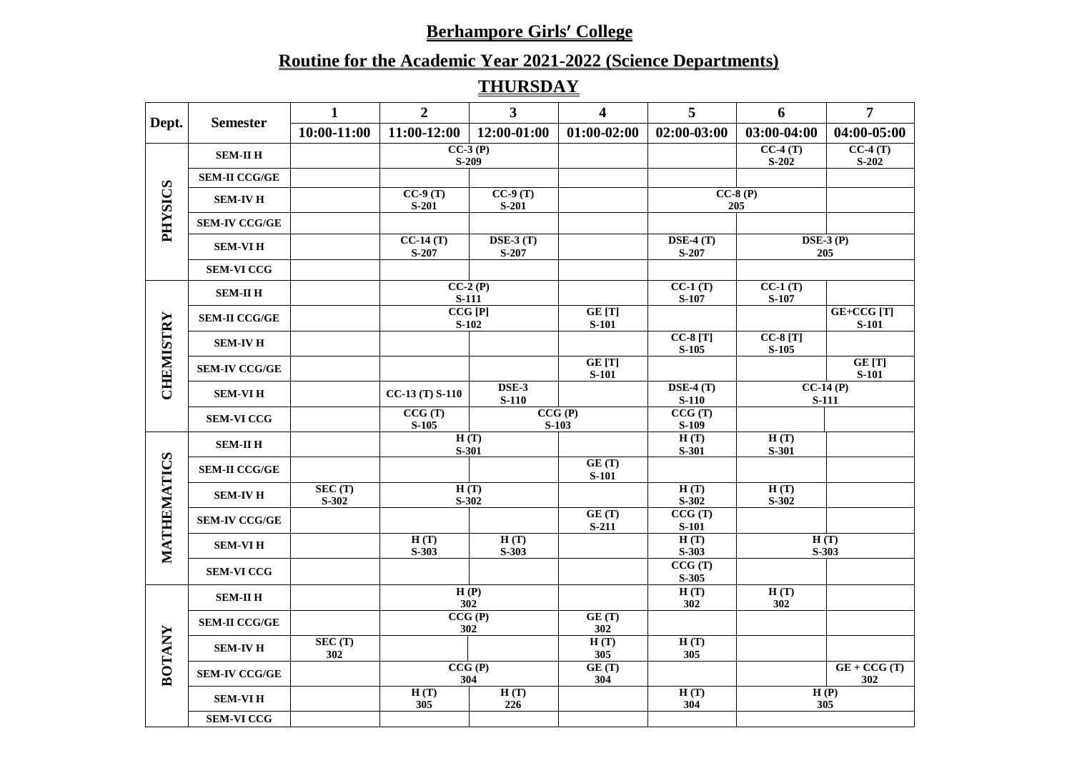# **Routine for the Academic Year 2021-2022 (Science Departments)**

# **THURSDAY**

|                |                      | $\mathbf{1}$       | $\overline{2}$        | $\mathbf{3}$              | 4                      | 5                      | 6                    | $\overline{7}$             |
|----------------|----------------------|--------------------|-----------------------|---------------------------|------------------------|------------------------|----------------------|----------------------------|
| Dept.          | <b>Semester</b>      | $10:00-11:00$      | 11:00-12:00           | 12:00-01:00               | $01:00-02:00$          | 02:00-03:00            | 03:00-04:00          | 04:00-05:00                |
|                | <b>SEM-II H</b>      |                    |                       | $CC-3(P)$<br>$S-209$      |                        |                        | $CC-4(T)$<br>$S-202$ | $CC-4(T)$<br>$S-202$       |
|                | <b>SEM-II CCG/GE</b> |                    |                       |                           |                        |                        |                      |                            |
| <b>SOISXHd</b> | <b>SEM-IV H</b>      |                    | $CC-9(T)$<br>$S-201$  | $CC-9(T)$<br>$S-201$      |                        |                        | $CC-8(P)$<br>205     |                            |
|                | <b>SEM-IV CCG/GE</b> |                    |                       |                           |                        |                        |                      |                            |
|                | <b>SEM-VIH</b>       |                    | $CC-14(T)$<br>$S-207$ | $DSE-3(T)$<br>$S-207$     |                        | $DSE-4(T)$<br>S-207    |                      | $\bf{DSE-3}$ (P)<br>205    |
|                | <b>SEM-VI CCG</b>    |                    |                       |                           |                        |                        |                      |                            |
|                | <b>SEM-II H</b>      |                    |                       | $CC-2(P)$<br><b>S-111</b> |                        | $CC-1(T)$<br>S-107     | $CC-1(T)$<br>S-107   |                            |
|                | <b>SEM-II CCG/GE</b> |                    |                       | CCG[P]<br>$S-102$         | GE [T]<br><b>S-101</b> |                        |                      | GE+CCG [T]<br>$S-101$      |
| CHEMISTRY      | <b>SEM-IV H</b>      |                    |                       |                           |                        | $CC-8[T]$<br>$S-105$   | $CC-8[T]$<br>$S-105$ |                            |
|                | <b>SEM-IV CCG/GE</b> |                    |                       |                           | GE [T]<br><b>S-101</b> |                        |                      | GE [T]<br><b>S-101</b>     |
|                | <b>SEM-VIH</b>       |                    | $CC-13(T) S-110$      | DSE-3<br>$S-110$          |                        | $DSE-4(T)$<br>$S-110$  |                      | $CC-14(P)$<br><b>S-111</b> |
|                | <b>SEM-VI CCG</b>    |                    | CCG(T)<br>$S-105$     |                           | CCG(P)<br>$S-103$      | CCG(T)<br>$S-109$      |                      |                            |
|                | <b>SEM-II H</b>      |                    |                       | H(T)<br>S-301             |                        | H(T)<br>S-301          | H(T)<br>S-301        |                            |
| IATICS         | <b>SEM-II CCG/GE</b> |                    |                       |                           | GE(T)<br><b>S-101</b>  |                        |                      |                            |
|                | <b>SEM-IV H</b>      | SEC (T)<br>$S-302$ |                       | H(T)<br>$S-302$           |                        | H(T)<br>$S-302$        | H(T)<br>$S-302$      |                            |
|                | <b>SEM-IV CCG/GE</b> |                    |                       |                           | GE(T)<br>$S-211$       | CCG(T)<br><b>S-101</b> |                      |                            |
| MATHEN         | <b>SEM-VIH</b>       |                    | H(T)<br>$S-303$       | H(T)<br>$S-303$           |                        | H(T)<br>$S-303$        |                      | H(T)<br>$S-303$            |
|                | <b>SEM-VI CCG</b>    |                    |                       |                           |                        | CCG(T)<br>S-305        |                      |                            |
|                | <b>SEM-II H</b>      |                    |                       | H(P)<br>302               |                        | H(T)<br>302            | H(T)<br>302          |                            |
|                | <b>SEM-II CCG/GE</b> |                    |                       | CCG(P)<br>302             | GE(T)<br>302           |                        |                      |                            |
| BOTANY         | <b>SEM-IV H</b>      | SEC (T)<br>302     |                       |                           | H(T)<br>305            | H(T)<br>305            |                      |                            |
|                | <b>SEM-IV CCG/GE</b> |                    |                       | CCG(P)<br>304             | GE(T)<br>304           |                        |                      | $GE + CCG(T)$<br>302       |
|                | <b>SEM-VIH</b>       |                    | H(T)<br>305           | H(T)<br>226               |                        | H(T)<br>304            |                      | H(P)<br>305                |
|                | <b>SEM-VI CCG</b>    |                    |                       |                           |                        |                        |                      |                            |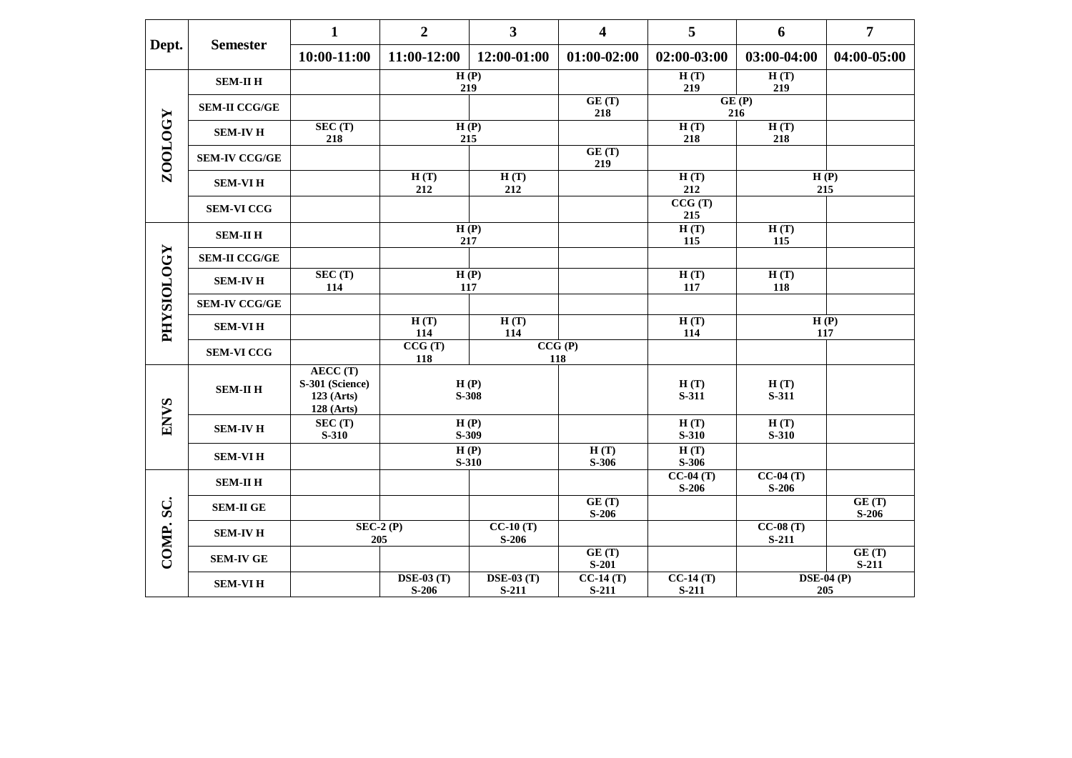| Dept.             |                      | $\mathbf{1}$                                                    | $\overline{2}$              | 3                            | $\overline{\mathbf{4}}$ | 5                     | 6                     | $\overline{7}$           |
|-------------------|----------------------|-----------------------------------------------------------------|-----------------------------|------------------------------|-------------------------|-----------------------|-----------------------|--------------------------|
|                   | <b>Semester</b>      | $10:00-11:00$                                                   | 11:00-12:00                 | 12:00-01:00                  | $01:00-02:00$           | 02:00-03:00           | 03:00-04:00           | 04:00-05:00              |
|                   | <b>SEM-II H</b>      |                                                                 |                             | H(P)<br>219                  |                         | H(T)<br>219           | H(T)<br>219           |                          |
|                   | <b>SEM-II CCG/GE</b> |                                                                 |                             |                              | GE(T)<br>218            |                       | GE(P)<br>216          |                          |
| ZOOLOGY           | <b>SEM-IV H</b>      | SEC (T)<br>218                                                  |                             | H(P)<br>215                  |                         | H(T)<br>218           | H(T)<br>218           |                          |
|                   | <b>SEM-IV CCG/GE</b> |                                                                 |                             |                              | GE(T)<br>219            |                       |                       |                          |
|                   | <b>SEM-VIH</b>       |                                                                 | H(T)<br>212                 | H(T)<br>212                  |                         | H(T)<br>212           |                       | H(P)<br>215              |
|                   | <b>SEM-VI CCG</b>    |                                                                 |                             |                              |                         | CCG(T)<br>215         |                       |                          |
|                   | <b>SEM-II H</b>      |                                                                 |                             | H(P)<br>217                  |                         | H(T)<br>115           | H(T)<br>115           |                          |
|                   | <b>SEM-II CCG/GE</b> |                                                                 |                             |                              |                         |                       |                       |                          |
| <b>FHYSIOLOGY</b> | <b>SEM-IV H</b>      | SEC (T)<br>114                                                  |                             | H(P)<br>117                  |                         | H(T)<br>117           | H(T)<br>118           |                          |
|                   | <b>SEM-IV CCG/GE</b> |                                                                 |                             |                              |                         |                       |                       |                          |
|                   | <b>SEM-VIH</b>       |                                                                 | H(T)<br>114                 | H(T)<br>114                  |                         | H(T)<br>114           |                       | H(P)<br>117              |
|                   | <b>SEM-VI CCG</b>    |                                                                 | CCG(T)<br>118               |                              | CCG(P)<br>118           |                       |                       |                          |
|                   | <b>SEM-II H</b>      | AECC(T)<br>S-301 (Science)<br>$123$ (Arts)<br><b>128 (Arts)</b> |                             | H(P)<br>S-308                |                         | H(T)<br>S-311         | H(T)<br>S-311         |                          |
| <b>ENVS</b>       | <b>SEM-IV H</b>      | SEC (T)<br>$S-310$                                              |                             | H(P)<br>S-309                |                         | H(T)<br>$S-310$       | H(T)<br>$S-310$       |                          |
|                   | <b>SEM-VIH</b>       |                                                                 |                             | H(P)<br>$S-310$              | H(T)<br>S-306           | H(T)<br>$S-306$       |                       |                          |
|                   | <b>SEM-II H</b>      |                                                                 |                             |                              |                         | $CC-04(T)$<br>$S-206$ | $CC-04(T)$<br>$S-206$ |                          |
| SC.<br>COMP.      | <b>SEM-II GE</b>     |                                                                 |                             |                              | GE(T)<br>$S-206$        |                       |                       | GE(T)<br>$S-206$         |
|                   | <b>SEM-IV H</b>      |                                                                 | $SEC-2(P)$<br>205           | $CC-10(T)$<br>$S-206$        |                         |                       | $CC-08(T)$<br>$S-211$ |                          |
|                   | <b>SEM-IV GE</b>     |                                                                 |                             |                              | GE(T)<br>$S-201$        |                       |                       | GE(T)<br>$S-211$         |
|                   | <b>SEM-VIH</b>       |                                                                 | $\bf$ DSE-03 (T)<br>$S-206$ | $\bf{DSE-03}$ (T)<br>$S-211$ | $CC-14(T)$<br>$S-211$   | $CC-14(T)$<br>$S-211$ |                       | <b>DSE-04 (P)</b><br>205 |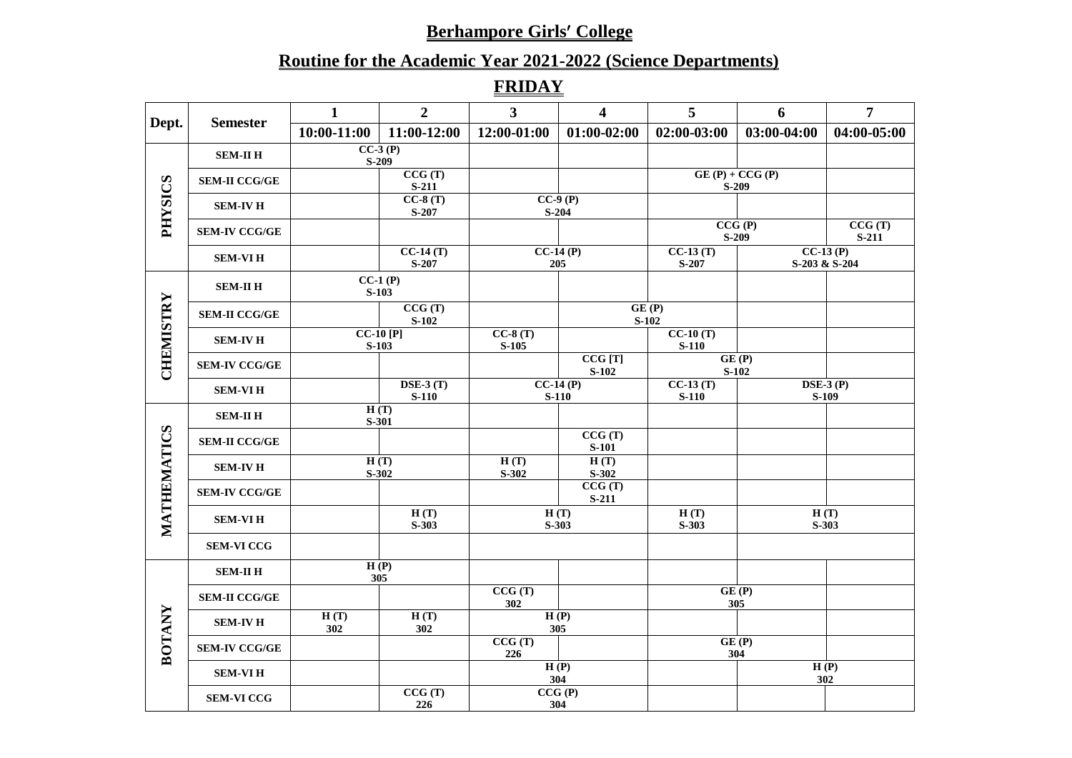# **Routine for the Academic Year 2021-2022 (Science Departments)**

**FRIDAY**

|                |                      | $\mathbf{1}$ | $\overline{2}$                           | 3 <sup>1</sup>       | $\overline{\mathbf{4}}$ | 5                     | 6                           | $\overline{7}$              |
|----------------|----------------------|--------------|------------------------------------------|----------------------|-------------------------|-----------------------|-----------------------------|-----------------------------|
| Dept.          | <b>Semester</b>      | 10:00-11:00  | 11:00-12:00                              | 12:00-01:00          | $01:00-02:00$           | 02:00-03:00           | 03:00-04:00                 | 04:00-05:00                 |
|                | <b>SEM-II H</b>      |              | $CC-3(P)$<br>$S-209$                     |                      |                         |                       |                             |                             |
|                | <b>SEM-II CCG/GE</b> |              | CCG(T)<br>$S-211$                        |                      |                         |                       | $GE(P) + CCG(P)$<br>$S-209$ |                             |
| <b>PHYSICS</b> | <b>SEM-IV H</b>      |              | $CC-8(T)$<br>$S-207$                     |                      | $CC-9(P)$<br>$S-204$    |                       |                             |                             |
|                | <b>SEM-IV CCG/GE</b> |              |                                          |                      |                         |                       | CCG(P)<br>$S-209$           | CCG(T)<br>$S-211$           |
|                | <b>SEM-VIH</b>       |              | $CC-14(T)$<br>$S-207$                    |                      | $CC-14(P)$<br>205       | $CC-13(T)$<br>S-207   |                             | $CC-13(P)$<br>S-203 & S-204 |
|                | <b>SEM-II H</b>      |              | $CC-1(P)$<br>$S-103$                     |                      |                         |                       |                             |                             |
|                | <b>SEM-II CCG/GE</b> |              | CCG(T)<br>$S-102$                        |                      |                         | GE(P)<br>$S-102$      |                             |                             |
| CHEMISTRY      | <b>SEM-IV H</b>      |              | $CC-10$ [P]<br>$S-103$                   | $CC-8(T)$<br>$S-105$ |                         | $CC-10(T)$<br>$S-110$ |                             |                             |
|                | <b>SEM-IV CCG/GE</b> |              |                                          |                      | CCG[T]<br>$S-102$       |                       | GE(P)<br>$S-102$            |                             |
|                | <b>SEM-VIH</b>       |              | $\overline{\text{DSE-3 (T)}}$<br>$S-110$ |                      | $CC-14(P)$<br>$S-110$   | $CC-13(T)$<br>$S-110$ |                             | $DSE-3(P)$<br>S-109         |
|                | <b>SEM-II H</b>      |              | H(T)<br>S-301                            |                      |                         |                       |                             |                             |
|                | <b>SEM-II CCG/GE</b> |              |                                          |                      | CCG(T)<br><b>S-101</b>  |                       |                             |                             |
| HEMATICS       | <b>SEM-IV H</b>      |              | H(T)<br>$S-302$                          | H(T)<br>$S-302$      | H(T)<br>$S-302$         |                       |                             |                             |
|                | <b>SEM-IV CCG/GE</b> |              |                                          |                      | CCG(T)<br>$S-211$       |                       |                             |                             |
| <b>MATH</b>    | <b>SEM-VIH</b>       |              | H(T)<br>$S-303$                          |                      | H(T)<br>$S-303$         | H(T)<br>$S-303$       |                             | H(T)<br>$S-303$             |
|                | <b>SEM-VI CCG</b>    |              |                                          |                      |                         |                       |                             |                             |
|                | <b>SEM-II H</b>      |              | H(P)<br>305                              |                      |                         |                       |                             |                             |
|                | <b>SEM-II CCG/GE</b> |              |                                          | CCG(T)<br>302        |                         |                       | GE(P)<br>305                |                             |
|                | <b>SEM-IV H</b>      | H(T)<br>302  | H(T)<br>302                              |                      | H(P)<br>305             |                       |                             |                             |
| <b>BOTANY</b>  | <b>SEM-IV CCG/GE</b> |              |                                          | CCG(T)<br>226        |                         |                       | GE(P)<br>304                |                             |
|                | <b>SEM-VIH</b>       |              |                                          |                      | H(P)<br>304             |                       |                             | H(P)<br>302                 |
|                | <b>SEM-VI CCG</b>    |              | CCG(T)<br>226                            |                      | CCG(P)<br>304           |                       |                             |                             |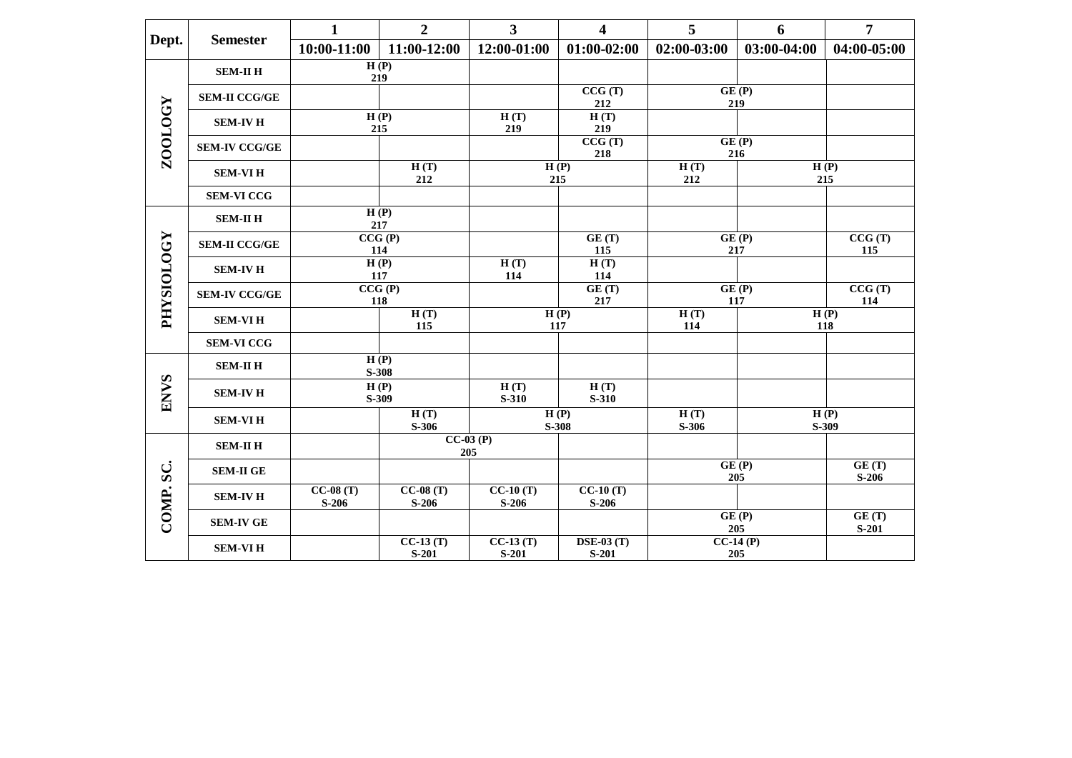|                   |                      | $\mathbf{1}$          | $\overline{2}$        | 3                     | $\overline{\mathbf{4}}$      | 5               | 6                                                    | $\overline{7}$   |
|-------------------|----------------------|-----------------------|-----------------------|-----------------------|------------------------------|-----------------|------------------------------------------------------|------------------|
| Dept.             | <b>Semester</b>      | $10:00-11:00$         | 11:00-12:00           | 12:00-01:00           | $01:00-02:00$                | $02:00-03:00$   | 03:00-04:00                                          | 04:00-05:00      |
|                   | <b>SEM-II H</b>      | H(P)<br>219           |                       |                       |                              |                 |                                                      |                  |
|                   | <b>SEM-II CCG/GE</b> |                       |                       |                       | CCG(T)<br>212                |                 | GE(P)<br>219                                         |                  |
| ZOOLOGY           | <b>SEM-IV H</b>      | 215                   | H(P)                  | H(T)<br>219           | H(T)<br>219                  |                 |                                                      |                  |
|                   | <b>SEM-IV CCG/GE</b> |                       |                       |                       | CCG(T)<br>218                |                 | GE(P)<br>216                                         |                  |
|                   | <b>SEM-VIH</b>       |                       | H(T)<br>212           |                       | H(P)<br>215                  | H(T)<br>212     |                                                      | H(P)<br>215      |
|                   | <b>SEM-VI CCG</b>    |                       |                       |                       |                              |                 |                                                      |                  |
|                   | <b>SEM-II H</b>      | 217                   | H(P)                  |                       |                              |                 |                                                      |                  |
| <b>PHYSIOLOGY</b> | <b>SEM-II CCG/GE</b> | 114                   | CCG(P)                |                       | GE(T)<br>115                 |                 | GE(P)<br>217                                         | CCG(T)<br>115    |
|                   | <b>SEM-IV H</b>      | 117                   | H(P)                  | H(T)<br>114           | H(T)<br>114                  |                 |                                                      |                  |
|                   | <b>SEM-IV CCG/GE</b> | 118                   | CCG(P)                |                       | GE(T)<br>217                 |                 | $\overline{\mathbf{G}}\mathbf{E}(\mathbf{P})$<br>117 | CCG(T)<br>114    |
|                   | <b>SEM-VIH</b>       |                       | H(T)<br>115           |                       | H(P)<br>117                  | H(T)<br>114     |                                                      | H(P)<br>118      |
|                   | <b>SEM-VI CCG</b>    |                       |                       |                       |                              |                 |                                                      |                  |
|                   | <b>SEM-II H</b>      |                       | H(P)<br>S-308         |                       |                              |                 |                                                      |                  |
| <b>ENVS</b>       | <b>SEM-IV H</b>      |                       | H(P)<br>S-309         | H(T)<br>S-310         | H(T)<br><b>S-310</b>         |                 |                                                      |                  |
|                   | <b>SEM-VIH</b>       |                       | H(T)<br>$S-306$       |                       | H(P)<br><b>S-308</b>         | H(T)<br>$S-306$ |                                                      | H(P)<br>$S-309$  |
|                   | <b>SEM-II H</b>      |                       |                       | $CC-03(P)$<br>205     |                              |                 |                                                      |                  |
| $\sum$            | <b>SEM-II GE</b>     |                       |                       |                       |                              |                 | GE(P)<br>205                                         | GE(T)<br>$S-206$ |
| COMP.             | <b>SEM-IV H</b>      | $CC-08(T)$<br>$S-206$ | $CC-08(T)$<br>$S-206$ | $CC-10(T)$<br>$S-206$ | $CC-10(T)$<br>$S-206$        |                 |                                                      |                  |
|                   | <b>SEM-IV GE</b>     |                       |                       |                       |                              |                 | GE(P)<br>205                                         | GE(T)<br>$S-201$ |
|                   | <b>SEM-VIH</b>       |                       | $CC-13(T)$<br>$S-201$ | $CC-13(T)$<br>$S-201$ | $\bf{DSE-03}$ (T)<br>$S-201$ |                 | $CC-14(P)$<br>205                                    |                  |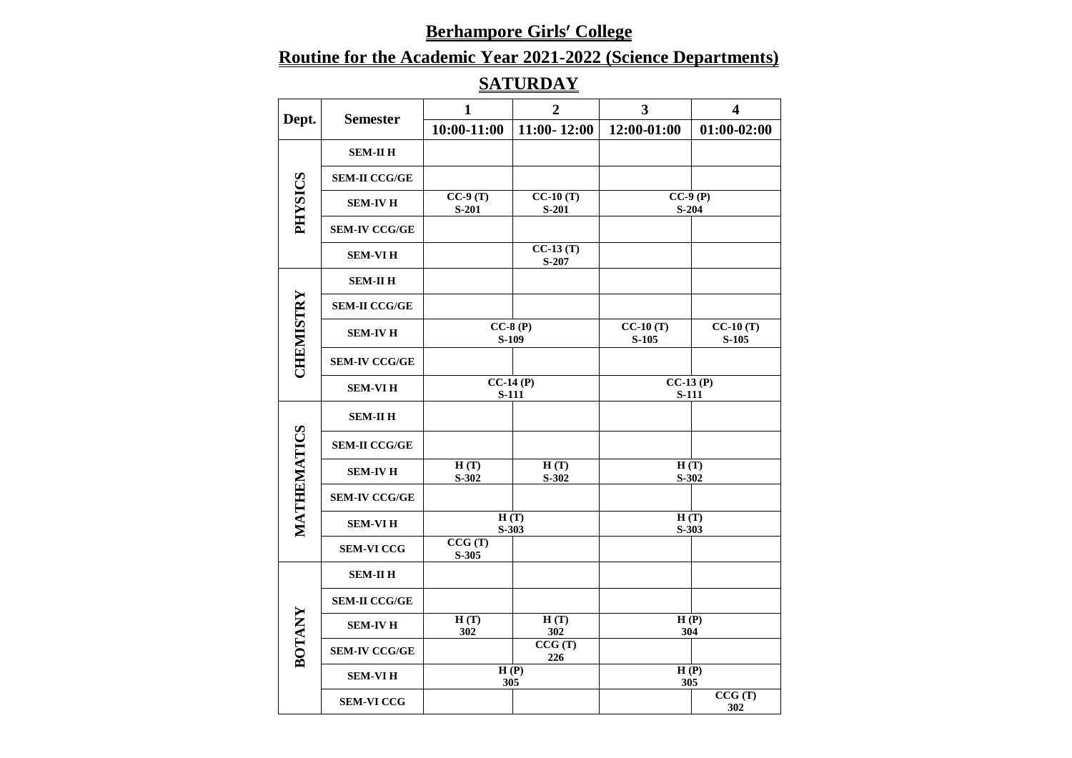# **Routine for the Academic Year 2021-2022 (Science Departments)**

# **SATURDAY**

| Dept.          |                      | 1                     | $\overline{2}$        | $\overline{\mathbf{3}}$ | $\overline{\mathbf{4}}$ |
|----------------|----------------------|-----------------------|-----------------------|-------------------------|-------------------------|
|                | <b>Semester</b>      | 10:00-11:00           | $11:00 - 12:00$       | 12:00-01:00             | $01:00-02:00$           |
|                | <b>SEM-II H</b>      |                       |                       |                         |                         |
|                | <b>SEM-II CCG/GE</b> |                       |                       |                         |                         |
| <b>SOISXHd</b> | <b>SEM-IV H</b>      | $CC-9(T)$<br>$S-201$  | $CC-10(T)$<br>$S-201$ |                         | $CC-9(P)$<br>$S-204$    |
|                | <b>SEM-IV CCG/GE</b> |                       |                       |                         |                         |
|                | <b>SEM-VIH</b>       |                       | $CC-13(T)$<br>$S-207$ |                         |                         |
|                | <b>SEM-II H</b>      |                       |                       |                         |                         |
| CHEMISTRY      | <b>SEM-II CCG/GE</b> |                       |                       |                         |                         |
|                | <b>SEM-IV H</b>      |                       | $CC-8(P)$<br>S-109    | $CC-10(T)$<br>$S-105$   | $CC-10(T)$<br>$S-105$   |
|                | <b>SEM-IV CCG/GE</b> |                       |                       |                         |                         |
|                | <b>SEM-VIH</b>       | $CC-14(P)$<br>$S-111$ |                       | <b>S-111</b>            | $CC-13(P)$              |
|                | <b>SEM-II H</b>      |                       |                       |                         |                         |
|                | <b>SEM-II CCG/GE</b> |                       |                       |                         |                         |
| MATHEMATICS    | <b>SEM-IV H</b>      | H(T)<br>S-302         | H(T)<br>$S-302$       | H(T)<br>S-302           |                         |
|                | <b>SEM-IV CCG/GE</b> |                       |                       |                         |                         |
|                | <b>SEM-VIH</b>       |                       | H(T)<br>$S-303$       |                         | H(T)<br>$S-303$         |
|                | <b>SEM-VI CCG</b>    | CCG(T)<br>$S-305$     |                       |                         |                         |
|                | <b>SEM-II H</b>      |                       |                       |                         |                         |
|                | <b>SEM-II CCG/GE</b> |                       |                       |                         |                         |
|                | <b>SEM-IV H</b>      | H(T)<br>302           | H(T)<br>302           | H(P)                    | 304                     |
| <b>BOTANY</b>  | <b>SEM-IV CCG/GE</b> |                       | CCG(T)<br>226         |                         |                         |
|                | <b>SEM-VIH</b>       |                       | H(P)<br>305           | H(P)<br>305             |                         |
|                | <b>SEM-VI CCG</b>    |                       |                       |                         | CCG(T)<br>302           |